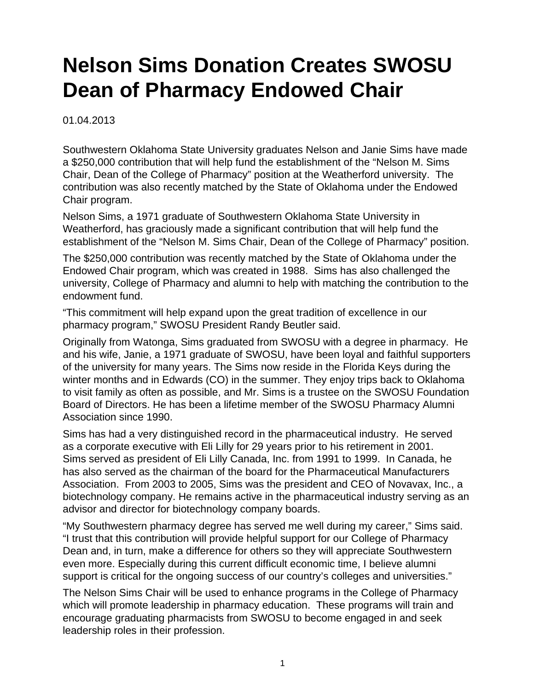## **Nelson Sims Donation Creates SWOSU Dean of Pharmacy Endowed Chair**

01.04.2013

Southwestern Oklahoma State University graduates Nelson and Janie Sims have made a \$250,000 contribution that will help fund the establishment of the "Nelson M. Sims Chair, Dean of the College of Pharmacy" position at the Weatherford university. The contribution was also recently matched by the State of Oklahoma under the Endowed Chair program.

Nelson Sims, a 1971 graduate of Southwestern Oklahoma State University in Weatherford, has graciously made a significant contribution that will help fund the establishment of the "Nelson M. Sims Chair, Dean of the College of Pharmacy" position.

The \$250,000 contribution was recently matched by the State of Oklahoma under the Endowed Chair program, which was created in 1988. Sims has also challenged the university, College of Pharmacy and alumni to help with matching the contribution to the endowment fund.

"This commitment will help expand upon the great tradition of excellence in our pharmacy program," SWOSU President Randy Beutler said.

Originally from Watonga, Sims graduated from SWOSU with a degree in pharmacy. He and his wife, Janie, a 1971 graduate of SWOSU, have been loyal and faithful supporters of the university for many years. The Sims now reside in the Florida Keys during the winter months and in Edwards (CO) in the summer. They enjoy trips back to Oklahoma to visit family as often as possible, and Mr. Sims is a trustee on the SWOSU Foundation Board of Directors. He has been a lifetime member of the SWOSU Pharmacy Alumni Association since 1990.

Sims has had a very distinguished record in the pharmaceutical industry. He served as a corporate executive with Eli Lilly for 29 years prior to his retirement in 2001. Sims served as president of Eli Lilly Canada, Inc. from 1991 to 1999. In Canada, he has also served as the chairman of the board for the Pharmaceutical Manufacturers Association. From 2003 to 2005, Sims was the president and CEO of Novavax, Inc., a biotechnology company. He remains active in the pharmaceutical industry serving as an advisor and director for biotechnology company boards.

"My Southwestern pharmacy degree has served me well during my career," Sims said. "I trust that this contribution will provide helpful support for our College of Pharmacy Dean and, in turn, make a difference for others so they will appreciate Southwestern even more. Especially during this current difficult economic time, I believe alumni support is critical for the ongoing success of our country's colleges and universities."

The Nelson Sims Chair will be used to enhance programs in the College of Pharmacy which will promote leadership in pharmacy education. These programs will train and encourage graduating pharmacists from SWOSU to become engaged in and seek leadership roles in their profession.